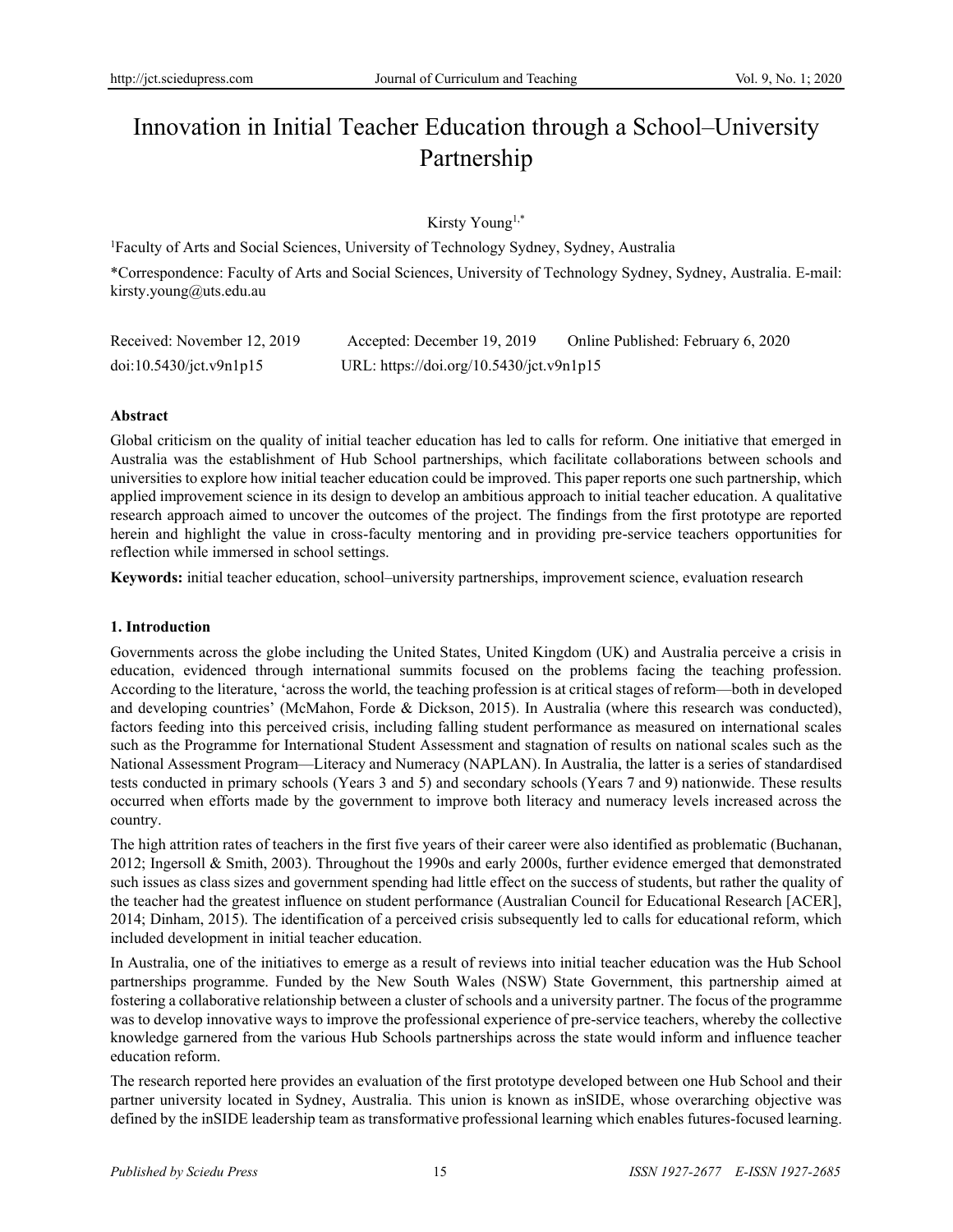# Innovation in Initial Teacher Education through a School–University Partnership

Kirsty Young1,\*

<sup>1</sup>Faculty of Arts and Social Sciences, University of Technology Sydney, Sydney, Australia

\*Correspondence: Faculty of Arts and Social Sciences, University of Technology Sydney, Sydney, Australia. E-mail: kirsty.young@uts.edu.au

| Received: November 12, 2019 | Accepted: December 19, 2019              | Online Published: February 6, 2020 |
|-----------------------------|------------------------------------------|------------------------------------|
| doi:10.5430/jct.v9n1p15     | URL: https://doi.org/10.5430/jct.v9n1p15 |                                    |

## **Abstract**

Global criticism on the quality of initial teacher education has led to calls for reform. One initiative that emerged in Australia was the establishment of Hub School partnerships, which facilitate collaborations between schools and universities to explore how initial teacher education could be improved. This paper reports one such partnership, which applied improvement science in its design to develop an ambitious approach to initial teacher education. A qualitative research approach aimed to uncover the outcomes of the project. The findings from the first prototype are reported herein and highlight the value in cross-faculty mentoring and in providing pre-service teachers opportunities for reflection while immersed in school settings.

**Keywords:** initial teacher education, school–university partnerships, improvement science, evaluation research

## **1. Introduction**

Governments across the globe including the United States, United Kingdom (UK) and Australia perceive a crisis in education, evidenced through international summits focused on the problems facing the teaching profession. According to the literature, 'across the world, the teaching profession is at critical stages of reform—both in developed and developing countries' (McMahon, Forde & Dickson, 2015). In Australia (where this research was conducted), factors feeding into this perceived crisis, including falling student performance as measured on international scales such as the Programme for International Student Assessment and stagnation of results on national scales such as the National Assessment Program—Literacy and Numeracy (NAPLAN). In Australia, the latter is a series of standardised tests conducted in primary schools (Years 3 and 5) and secondary schools (Years 7 and 9) nationwide. These results occurred when efforts made by the government to improve both literacy and numeracy levels increased across the country.

The high attrition rates of teachers in the first five years of their career were also identified as problematic (Buchanan, 2012; Ingersoll & Smith, 2003). Throughout the 1990s and early 2000s, further evidence emerged that demonstrated such issues as class sizes and government spending had little effect on the success of students, but rather the quality of the teacher had the greatest influence on student performance (Australian Council for Educational Research [ACER], 2014; Dinham, 2015). The identification of a perceived crisis subsequently led to calls for educational reform, which included development in initial teacher education.

In Australia, one of the initiatives to emerge as a result of reviews into initial teacher education was the Hub School partnerships programme. Funded by the New South Wales (NSW) State Government, this partnership aimed at fostering a collaborative relationship between a cluster of schools and a university partner. The focus of the programme was to develop innovative ways to improve the professional experience of pre-service teachers, whereby the collective knowledge garnered from the various Hub Schools partnerships across the state would inform and influence teacher education reform.

The research reported here provides an evaluation of the first prototype developed between one Hub School and their partner university located in Sydney, Australia. This union is known as inSIDE, whose overarching objective was defined by the inSIDE leadership team as transformative professional learning which enables futures-focused learning.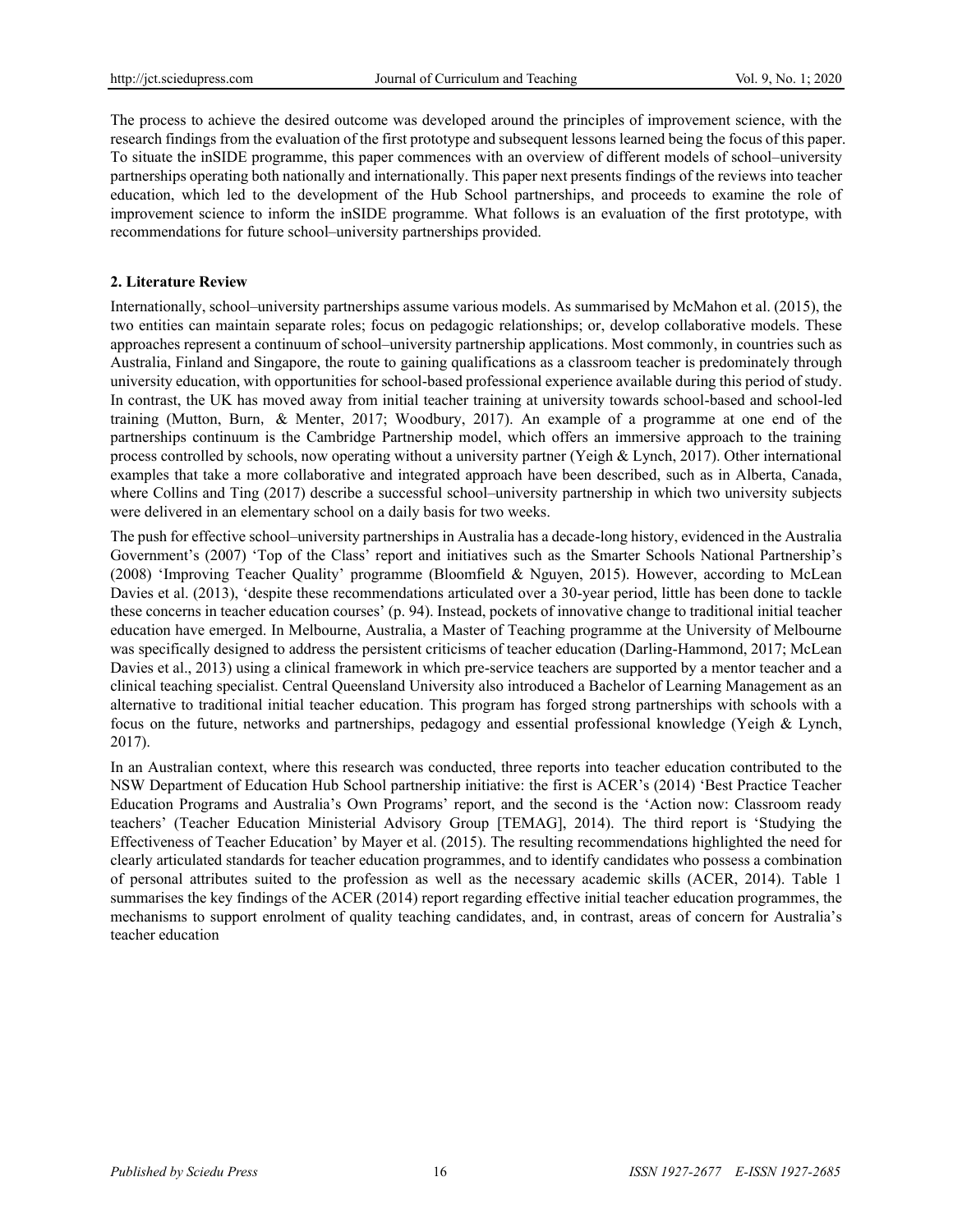The process to achieve the desired outcome was developed around the principles of improvement science, with the research findings from the evaluation of the first prototype and subsequent lessons learned being the focus of this paper. To situate the inSIDE programme, this paper commences with an overview of different models of school–university partnerships operating both nationally and internationally. This paper next presents findings of the reviews into teacher education, which led to the development of the Hub School partnerships, and proceeds to examine the role of improvement science to inform the inSIDE programme. What follows is an evaluation of the first prototype, with recommendations for future school–university partnerships provided.

## **2. Literature Review**

Internationally, school–university partnerships assume various models. As summarised by McMahon et al. (2015), the two entities can maintain separate roles; focus on pedagogic relationships; or, develop collaborative models. These approaches represent a continuum of school–university partnership applications. Most commonly, in countries such as Australia, Finland and Singapore, the route to gaining qualifications as a classroom teacher is predominately through university education, with opportunities for school-based professional experience available during this period of study. In contrast, the UK has moved away from initial teacher training at university towards school-based and school-led training (Mutton, Burn, & Menter, 2017; Woodbury, 2017). An example of a programme at one end of the partnerships continuum is the Cambridge Partnership model, which offers an immersive approach to the training process controlled by schools, now operating without a university partner (Yeigh & Lynch, 2017). Other international examples that take a more collaborative and integrated approach have been described, such as in Alberta, Canada, where Collins and Ting (2017) describe a successful school–university partnership in which two university subjects were delivered in an elementary school on a daily basis for two weeks.

The push for effective school–university partnerships in Australia has a decade-long history, evidenced in the Australia Government's (2007) 'Top of the Class' report and initiatives such as the Smarter Schools National Partnership's (2008) 'Improving Teacher Quality' programme (Bloomfield & Nguyen, 2015). However, according to McLean Davies et al. (2013), 'despite these recommendations articulated over a 30-year period, little has been done to tackle these concerns in teacher education courses' (p. 94). Instead, pockets of innovative change to traditional initial teacher education have emerged. In Melbourne, Australia, a Master of Teaching programme at the University of Melbourne was specifically designed to address the persistent criticisms of teacher education (Darling-Hammond, 2017; McLean Davies et al., 2013) using a clinical framework in which pre-service teachers are supported by a mentor teacher and a clinical teaching specialist. Central Queensland University also introduced a Bachelor of Learning Management as an alternative to traditional initial teacher education. This program has forged strong partnerships with schools with a focus on the future, networks and partnerships, pedagogy and essential professional knowledge (Yeigh & Lynch, 2017).

In an Australian context, where this research was conducted, three reports into teacher education contributed to the NSW Department of Education Hub School partnership initiative: the first is ACER's (2014) 'Best Practice Teacher Education Programs and Australia's Own Programs' report, and the second is the 'Action now: Classroom ready teachers' (Teacher Education Ministerial Advisory Group [TEMAG], 2014). The third report is 'Studying the Effectiveness of Teacher Education' by Mayer et al. (2015). The resulting recommendations highlighted the need for clearly articulated standards for teacher education programmes, and to identify candidates who possess a combination of personal attributes suited to the profession as well as the necessary academic skills (ACER, 2014). Table 1 summarises the key findings of the ACER (2014) report regarding effective initial teacher education programmes, the mechanisms to support enrolment of quality teaching candidates, and, in contrast, areas of concern for Australia's teacher education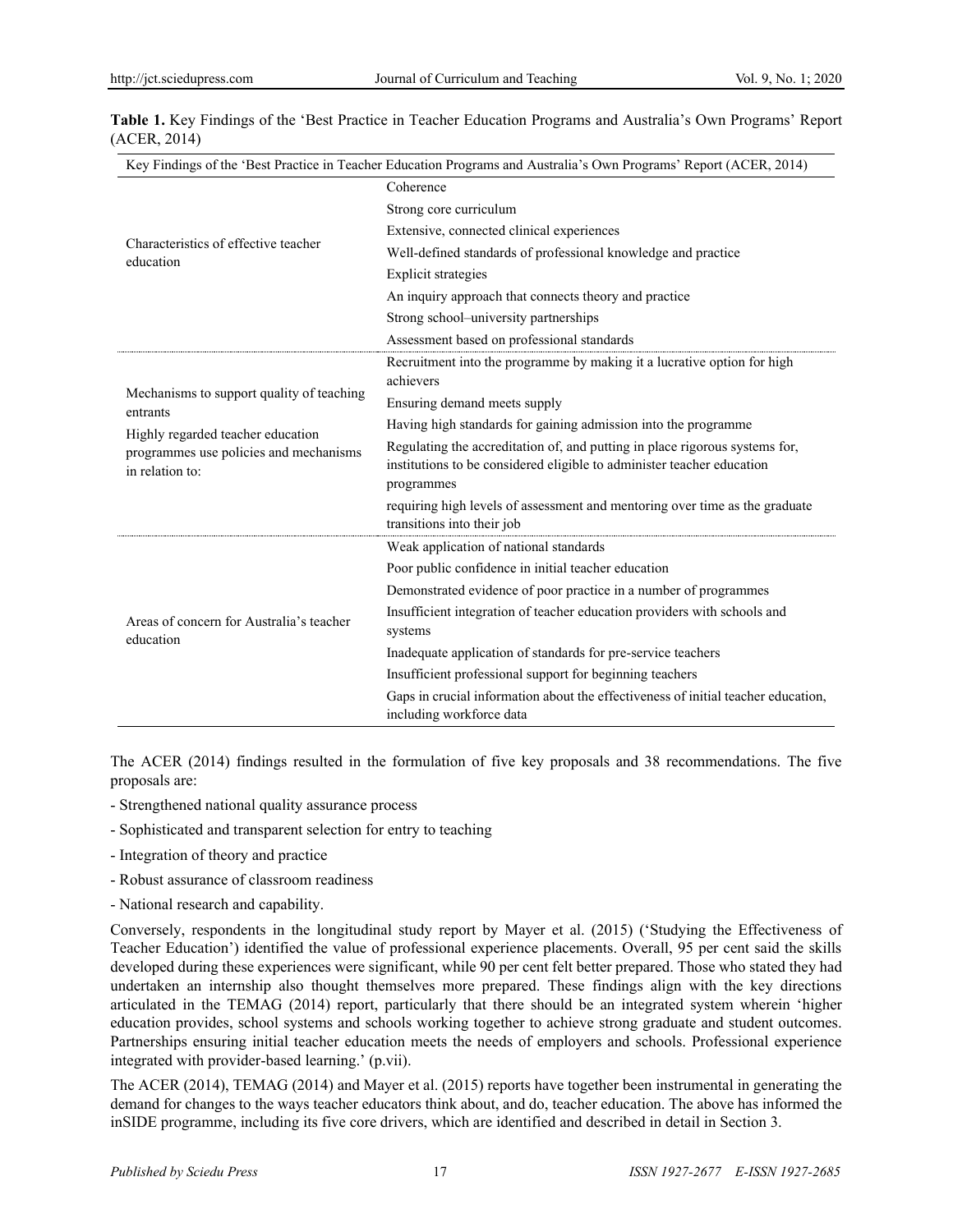| Key Findings of the 'Best Practice in Teacher Education Programs and Australia's Own Programs' Report (ACER, 2014)                                      |                                                                                                                                                                     |  |  |
|---------------------------------------------------------------------------------------------------------------------------------------------------------|---------------------------------------------------------------------------------------------------------------------------------------------------------------------|--|--|
| Characteristics of effective teacher<br>education                                                                                                       | Coherence                                                                                                                                                           |  |  |
|                                                                                                                                                         | Strong core curriculum                                                                                                                                              |  |  |
|                                                                                                                                                         | Extensive, connected clinical experiences                                                                                                                           |  |  |
|                                                                                                                                                         | Well-defined standards of professional knowledge and practice                                                                                                       |  |  |
|                                                                                                                                                         | <b>Explicit strategies</b>                                                                                                                                          |  |  |
|                                                                                                                                                         | An inquiry approach that connects theory and practice                                                                                                               |  |  |
|                                                                                                                                                         | Strong school-university partnerships                                                                                                                               |  |  |
|                                                                                                                                                         | Assessment based on professional standards                                                                                                                          |  |  |
| Mechanisms to support quality of teaching<br>entrants<br>Highly regarded teacher education<br>programmes use policies and mechanisms<br>in relation to: | Recruitment into the programme by making it a lucrative option for high                                                                                             |  |  |
|                                                                                                                                                         | achievers                                                                                                                                                           |  |  |
|                                                                                                                                                         | Ensuring demand meets supply                                                                                                                                        |  |  |
|                                                                                                                                                         | Having high standards for gaining admission into the programme                                                                                                      |  |  |
|                                                                                                                                                         | Regulating the accreditation of, and putting in place rigorous systems for,<br>institutions to be considered eligible to administer teacher education<br>programmes |  |  |
|                                                                                                                                                         | requiring high levels of assessment and mentoring over time as the graduate<br>transitions into their job                                                           |  |  |
| Areas of concern for Australia's teacher<br>education                                                                                                   | Weak application of national standards                                                                                                                              |  |  |
|                                                                                                                                                         | Poor public confidence in initial teacher education                                                                                                                 |  |  |
|                                                                                                                                                         | Demonstrated evidence of poor practice in a number of programmes                                                                                                    |  |  |
|                                                                                                                                                         | Insufficient integration of teacher education providers with schools and<br>systems                                                                                 |  |  |
|                                                                                                                                                         | Inadequate application of standards for pre-service teachers                                                                                                        |  |  |
|                                                                                                                                                         | Insufficient professional support for beginning teachers                                                                                                            |  |  |
|                                                                                                                                                         | Gaps in crucial information about the effectiveness of initial teacher education,<br>including workforce data                                                       |  |  |

**Table 1.** Key Findings of the 'Best Practice in Teacher Education Programs and Australia's Own Programs' Report (ACER, 2014)

The ACER (2014) findings resulted in the formulation of five key proposals and 38 recommendations. The five proposals are:

- Strengthened national quality assurance process
- Sophisticated and transparent selection for entry to teaching
- Integration of theory and practice
- Robust assurance of classroom readiness
- National research and capability.

Conversely, respondents in the longitudinal study report by Mayer et al. (2015) ('Studying the Effectiveness of Teacher Education') identified the value of professional experience placements. Overall, 95 per cent said the skills developed during these experiences were significant, while 90 per cent felt better prepared. Those who stated they had undertaken an internship also thought themselves more prepared. These findings align with the key directions articulated in the TEMAG (2014) report, particularly that there should be an integrated system wherein 'higher education provides, school systems and schools working together to achieve strong graduate and student outcomes. Partnerships ensuring initial teacher education meets the needs of employers and schools. Professional experience integrated with provider-based learning.' (p.vii).

The ACER (2014), TEMAG (2014) and Mayer et al. (2015) reports have together been instrumental in generating the demand for changes to the ways teacher educators think about, and do, teacher education. The above has informed the inSIDE programme, including its five core drivers, which are identified and described in detail in Section 3.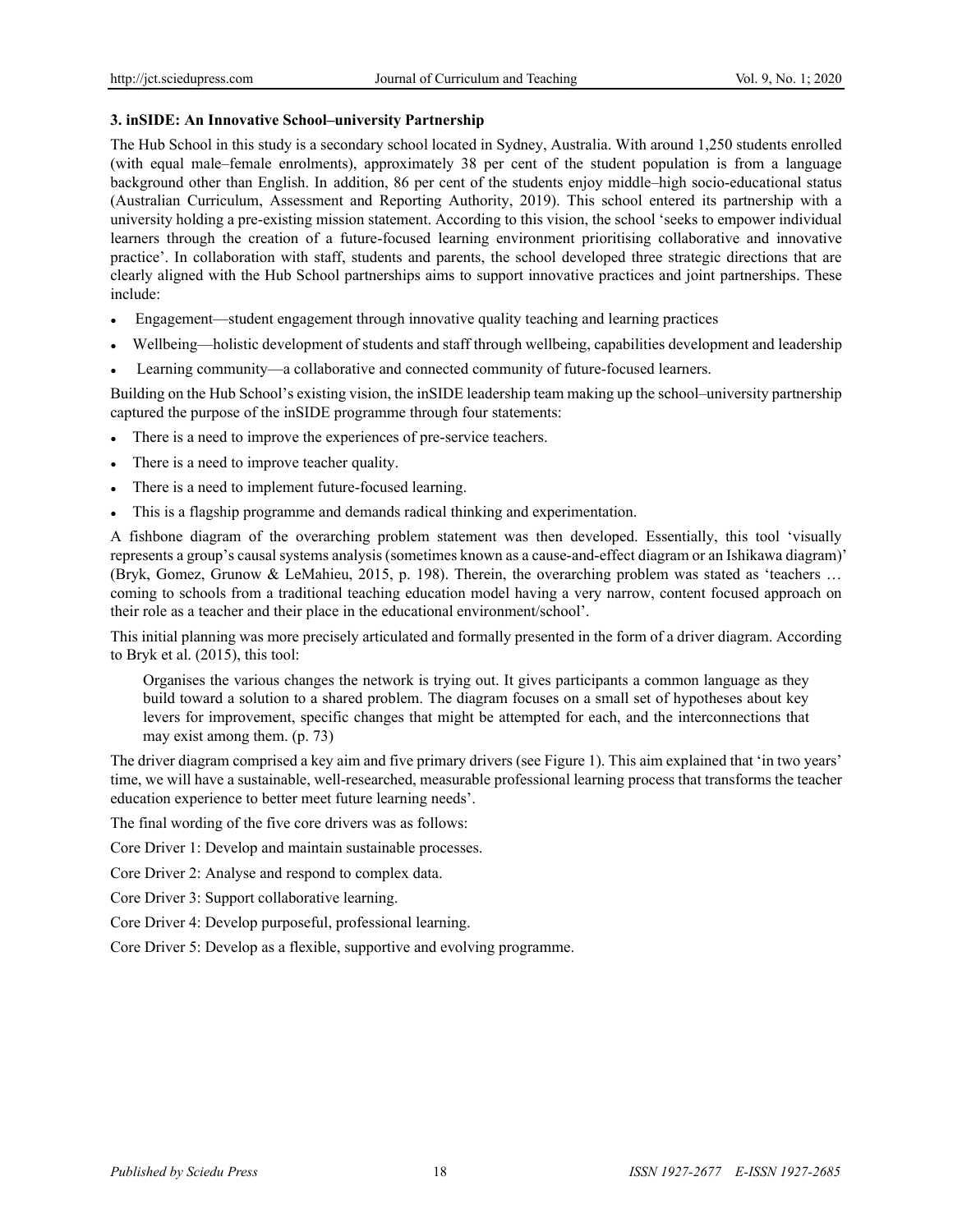## **3. inSIDE: An Innovative School–university Partnership**

The Hub School in this study is a secondary school located in Sydney, Australia. With around 1,250 students enrolled (with equal male–female enrolments), approximately 38 per cent of the student population is from a language background other than English. In addition, 86 per cent of the students enjoy middle–high socio-educational status (Australian Curriculum, Assessment and Reporting Authority, 2019). This school entered its partnership with a university holding a pre-existing mission statement. According to this vision, the school 'seeks to empower individual learners through the creation of a future-focused learning environment prioritising collaborative and innovative practice'. In collaboration with staff, students and parents, the school developed three strategic directions that are clearly aligned with the Hub School partnerships aims to support innovative practices and joint partnerships. These include:

- Engagement—student engagement through innovative quality teaching and learning practices
- Wellbeing—holistic development of students and staff through wellbeing, capabilities development and leadership
- Learning community—a collaborative and connected community of future-focused learners.

Building on the Hub School's existing vision, the inSIDE leadership team making up the school–university partnership captured the purpose of the inSIDE programme through four statements:

- There is a need to improve the experiences of pre-service teachers.
- There is a need to improve teacher quality.
- There is a need to implement future-focused learning.
- This is a flagship programme and demands radical thinking and experimentation.

A fishbone diagram of the overarching problem statement was then developed. Essentially, this tool 'visually represents a group's causal systems analysis (sometimes known as a cause-and-effect diagram or an Ishikawa diagram)' (Bryk, Gomez, Grunow & LeMahieu, 2015, p. 198). Therein, the overarching problem was stated as 'teachers … coming to schools from a traditional teaching education model having a very narrow, content focused approach on their role as a teacher and their place in the educational environment/school'.

This initial planning was more precisely articulated and formally presented in the form of a driver diagram. According to Bryk et al. (2015), this tool:

Organises the various changes the network is trying out. It gives participants a common language as they build toward a solution to a shared problem. The diagram focuses on a small set of hypotheses about key levers for improvement, specific changes that might be attempted for each, and the interconnections that may exist among them. (p. 73)

The driver diagram comprised a key aim and five primary drivers (see Figure 1). This aim explained that 'in two years' time, we will have a sustainable, well-researched, measurable professional learning process that transforms the teacher education experience to better meet future learning needs'.

The final wording of the five core drivers was as follows:

- Core Driver 1: Develop and maintain sustainable processes.
- Core Driver 2: Analyse and respond to complex data.
- Core Driver 3: Support collaborative learning.
- Core Driver 4: Develop purposeful, professional learning.

Core Driver 5: Develop as a flexible, supportive and evolving programme.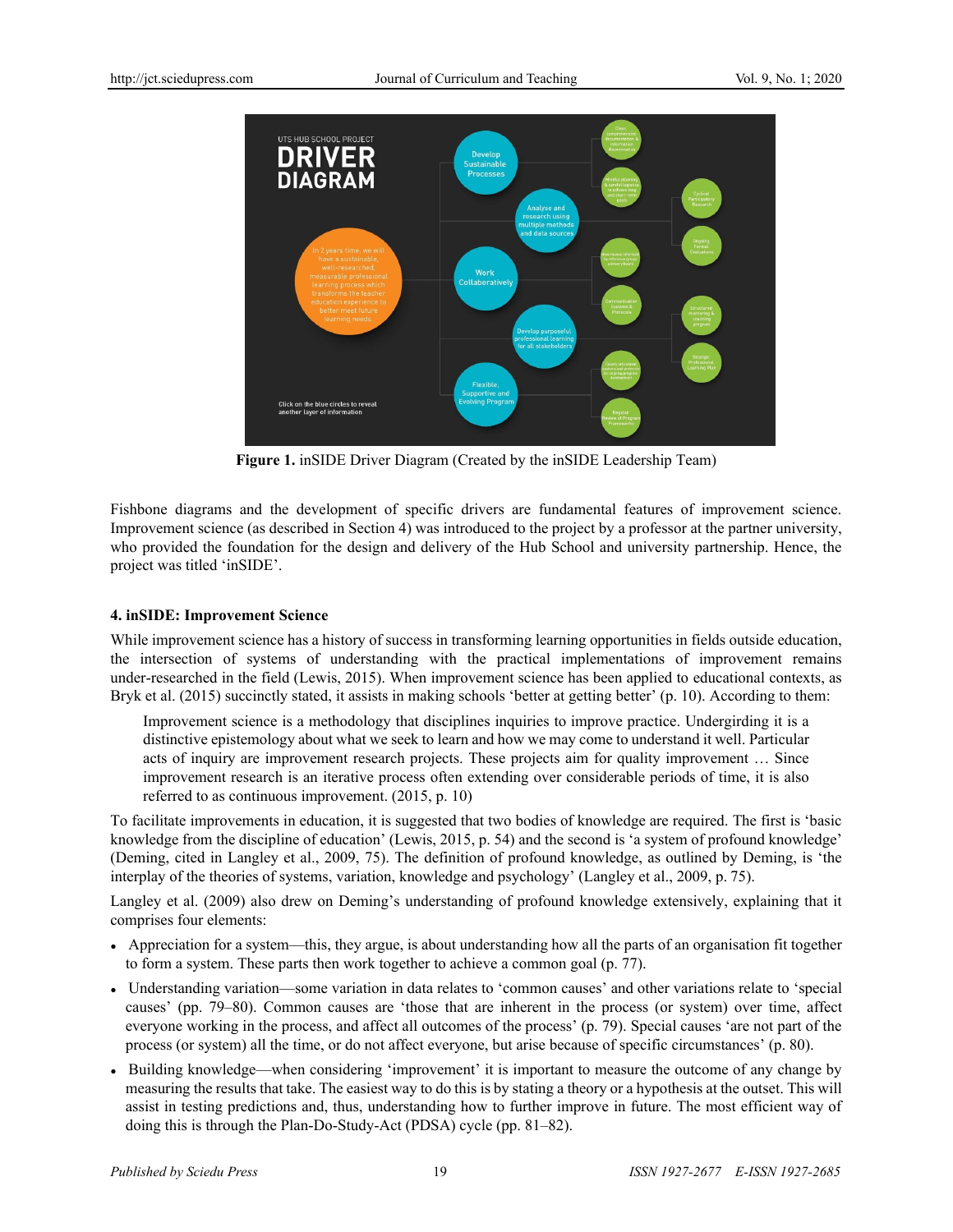

**Figure 1.** inSIDE Driver Diagram (Created by the inSIDE Leadership Team)

Fishbone diagrams and the development of specific drivers are fundamental features of improvement science. Improvement science (as described in Section 4) was introduced to the project by a professor at the partner university, who provided the foundation for the design and delivery of the Hub School and university partnership. Hence, the project was titled 'inSIDE'.

## **4. inSIDE: Improvement Science**

While improvement science has a history of success in transforming learning opportunities in fields outside education, the intersection of systems of understanding with the practical implementations of improvement remains under-researched in the field (Lewis, 2015). When improvement science has been applied to educational contexts, as Bryk et al. (2015) succinctly stated, it assists in making schools 'better at getting better' (p. 10). According to them:

Improvement science is a methodology that disciplines inquiries to improve practice. Undergirding it is a distinctive epistemology about what we seek to learn and how we may come to understand it well. Particular acts of inquiry are improvement research projects. These projects aim for quality improvement … Since improvement research is an iterative process often extending over considerable periods of time, it is also referred to as continuous improvement. (2015, p. 10)

To facilitate improvements in education, it is suggested that two bodies of knowledge are required. The first is 'basic knowledge from the discipline of education' (Lewis, 2015, p. 54) and the second is 'a system of profound knowledge' (Deming, cited in Langley et al., 2009, 75). The definition of profound knowledge, as outlined by Deming, is 'the interplay of the theories of systems, variation, knowledge and psychology' (Langley et al., 2009, p. 75).

Langley et al. (2009) also drew on Deming's understanding of profound knowledge extensively, explaining that it comprises four elements:

- Appreciation for a system—this, they argue, is about understanding how all the parts of an organisation fit together to form a system. These parts then work together to achieve a common goal (p. 77).
- Understanding variation—some variation in data relates to 'common causes' and other variations relate to 'special causes' (pp. 79–80). Common causes are 'those that are inherent in the process (or system) over time, affect everyone working in the process, and affect all outcomes of the process' (p. 79). Special causes 'are not part of the process (or system) all the time, or do not affect everyone, but arise because of specific circumstances' (p. 80).
- Building knowledge—when considering 'improvement' it is important to measure the outcome of any change by measuring the results that take. The easiest way to do this is by stating a theory or a hypothesis at the outset. This will assist in testing predictions and, thus, understanding how to further improve in future. The most efficient way of doing this is through the Plan-Do-Study-Act (PDSA) cycle (pp. 81–82).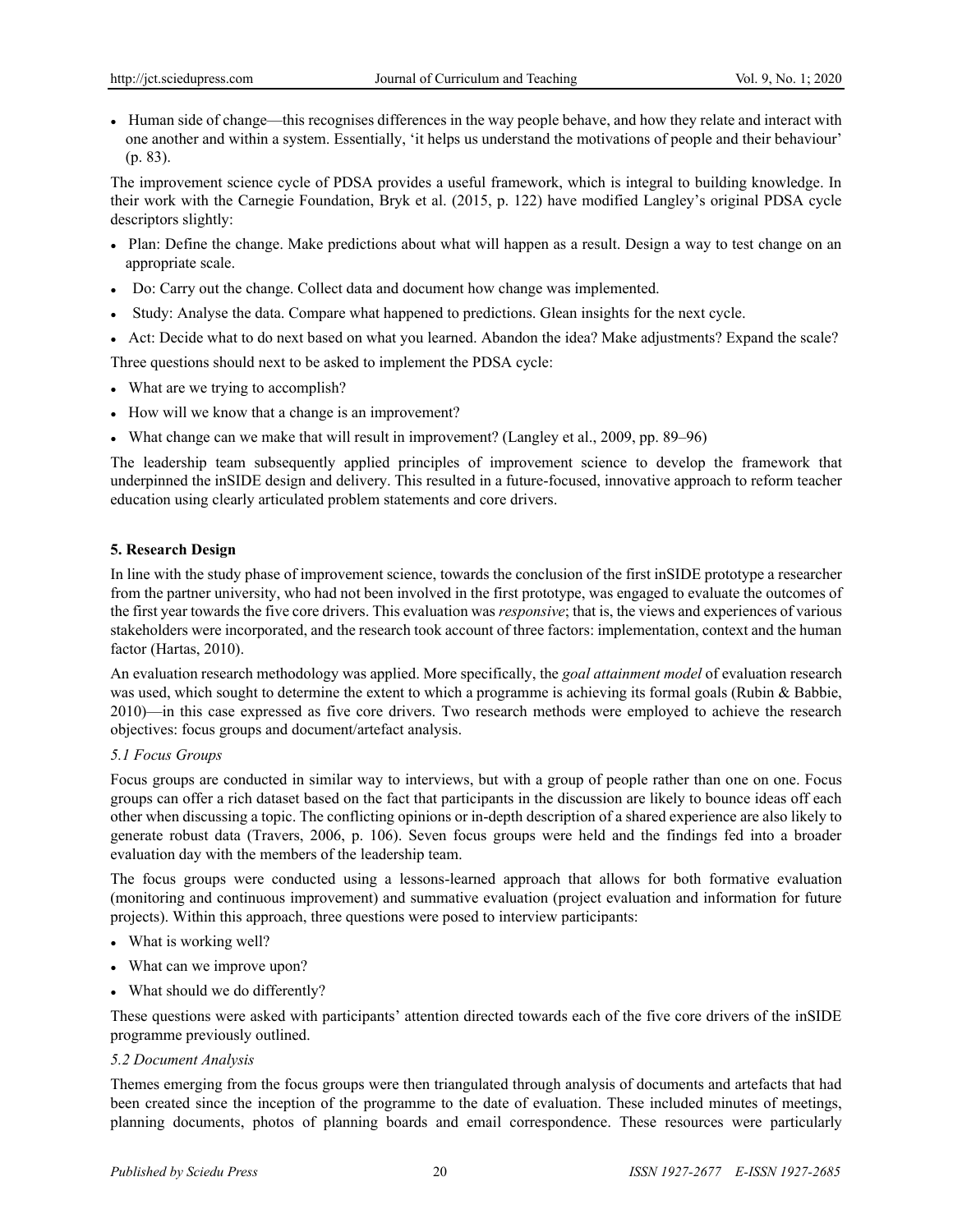• Human side of change—this recognises differences in the way people behave, and how they relate and interact with one another and within a system. Essentially, 'it helps us understand the motivations of people and their behaviour' (p. 83).

The improvement science cycle of PDSA provides a useful framework, which is integral to building knowledge. In their work with the Carnegie Foundation, Bryk et al. (2015, p. 122) have modified Langley's original PDSA cycle descriptors slightly:

- Plan: Define the change. Make predictions about what will happen as a result. Design a way to test change on an appropriate scale.
- Do: Carry out the change. Collect data and document how change was implemented.
- Study: Analyse the data. Compare what happened to predictions. Glean insights for the next cycle.
- Act: Decide what to do next based on what you learned. Abandon the idea? Make adjustments? Expand the scale?

Three questions should next to be asked to implement the PDSA cycle:

- What are we trying to accomplish?
- How will we know that a change is an improvement?
- What change can we make that will result in improvement? (Langley et al., 2009, pp. 89–96)

The leadership team subsequently applied principles of improvement science to develop the framework that underpinned the inSIDE design and delivery. This resulted in a future-focused, innovative approach to reform teacher education using clearly articulated problem statements and core drivers.

## **5. Research Design**

In line with the study phase of improvement science, towards the conclusion of the first inSIDE prototype a researcher from the partner university, who had not been involved in the first prototype, was engaged to evaluate the outcomes of the first year towards the five core drivers. This evaluation was *responsive*; that is, the views and experiences of various stakeholders were incorporated, and the research took account of three factors: implementation, context and the human factor (Hartas, 2010).

An evaluation research methodology was applied. More specifically, the *goal attainment model* of evaluation research was used, which sought to determine the extent to which a programme is achieving its formal goals (Rubin & Babbie, 2010)—in this case expressed as five core drivers. Two research methods were employed to achieve the research objectives: focus groups and document/artefact analysis.

## *5.1 Focus Groups*

Focus groups are conducted in similar way to interviews, but with a group of people rather than one on one. Focus groups can offer a rich dataset based on the fact that participants in the discussion are likely to bounce ideas off each other when discussing a topic. The conflicting opinions or in-depth description of a shared experience are also likely to generate robust data (Travers, 2006, p. 106). Seven focus groups were held and the findings fed into a broader evaluation day with the members of the leadership team.

The focus groups were conducted using a lessons-learned approach that allows for both formative evaluation (monitoring and continuous improvement) and summative evaluation (project evaluation and information for future projects). Within this approach, three questions were posed to interview participants:

- What is working well?
- What can we improve upon?
- What should we do differently?

These questions were asked with participants' attention directed towards each of the five core drivers of the inSIDE programme previously outlined.

## *5.2 Document Analysis*

Themes emerging from the focus groups were then triangulated through analysis of documents and artefacts that had been created since the inception of the programme to the date of evaluation. These included minutes of meetings, planning documents, photos of planning boards and email correspondence. These resources were particularly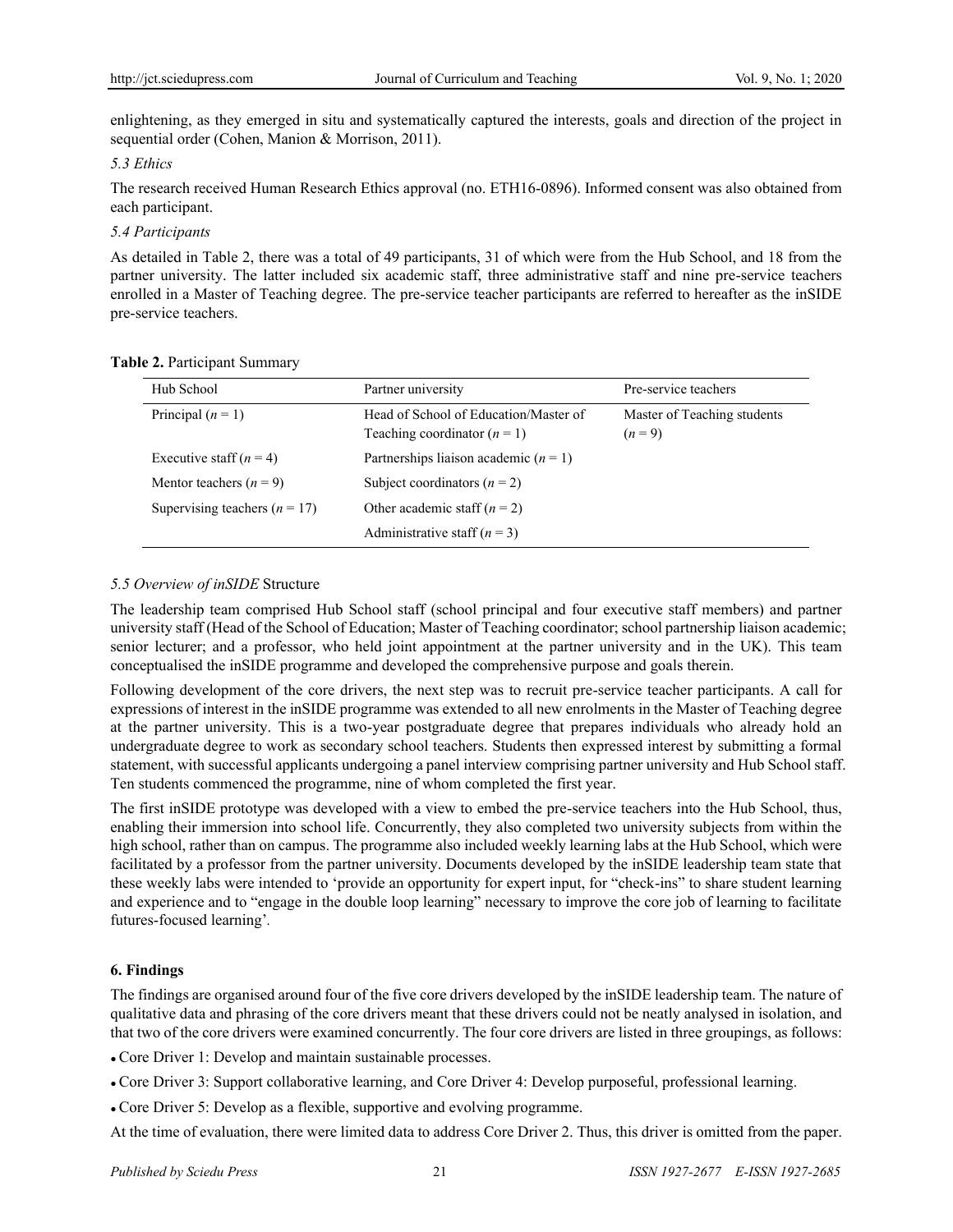enlightening, as they emerged in situ and systematically captured the interests, goals and direction of the project in sequential order (Cohen, Manion & Morrison, 2011).

#### *5.3 Ethics*

The research received Human Research Ethics approval (no. ETH16-0896). Informed consent was also obtained from each participant.

## *5.4 Participants*

As detailed in Table 2, there was a total of 49 participants, 31 of which were from the Hub School, and 18 from the partner university. The latter included six academic staff, three administrative staff and nine pre-service teachers enrolled in a Master of Teaching degree. The pre-service teacher participants are referred to hereafter as the inSIDE pre-service teachers.

| Hub School                      | Partner university                                                      | Pre-service teachers                   |  |
|---------------------------------|-------------------------------------------------------------------------|----------------------------------------|--|
| Principal $(n = 1)$             | Head of School of Education/Master of<br>Teaching coordinator $(n = 1)$ | Master of Teaching students<br>$(n=9)$ |  |
| Executive staff $(n = 4)$       | Partnerships liaison academic $(n = 1)$                                 |                                        |  |
| Mentor teachers $(n = 9)$       | Subject coordinators $(n = 2)$                                          |                                        |  |
| Supervising teachers $(n = 17)$ | Other academic staff $(n = 2)$                                          |                                        |  |
|                                 | Administrative staff $(n = 3)$                                          |                                        |  |

#### **Table 2.** Participant Summary

# *5.5 Overview of inSIDE* Structure

The leadership team comprised Hub School staff (school principal and four executive staff members) and partner university staff (Head of the School of Education; Master of Teaching coordinator; school partnership liaison academic; senior lecturer; and a professor, who held joint appointment at the partner university and in the UK). This team conceptualised the inSIDE programme and developed the comprehensive purpose and goals therein.

Following development of the core drivers, the next step was to recruit pre-service teacher participants. A call for expressions of interest in the inSIDE programme was extended to all new enrolments in the Master of Teaching degree at the partner university. This is a two-year postgraduate degree that prepares individuals who already hold an undergraduate degree to work as secondary school teachers. Students then expressed interest by submitting a formal statement, with successful applicants undergoing a panel interview comprising partner university and Hub School staff. Ten students commenced the programme, nine of whom completed the first year.

The first inSIDE prototype was developed with a view to embed the pre-service teachers into the Hub School, thus, enabling their immersion into school life. Concurrently, they also completed two university subjects from within the high school, rather than on campus. The programme also included weekly learning labs at the Hub School, which were facilitated by a professor from the partner university. Documents developed by the inSIDE leadership team state that these weekly labs were intended to 'provide an opportunity for expert input, for "check-ins" to share student learning and experience and to "engage in the double loop learning" necessary to improve the core job of learning to facilitate futures-focused learning'*.*

## **6. Findings**

The findings are organised around four of the five core drivers developed by the inSIDE leadership team. The nature of qualitative data and phrasing of the core drivers meant that these drivers could not be neatly analysed in isolation, and that two of the core drivers were examined concurrently. The four core drivers are listed in three groupings, as follows:

- Core Driver 1: Develop and maintain sustainable processes.
- ●Core Driver 3: Support collaborative learning, and Core Driver 4: Develop purposeful, professional learning.
- Core Driver 5: Develop as a flexible, supportive and evolving programme.

At the time of evaluation, there were limited data to address Core Driver 2. Thus, this driver is omitted from the paper.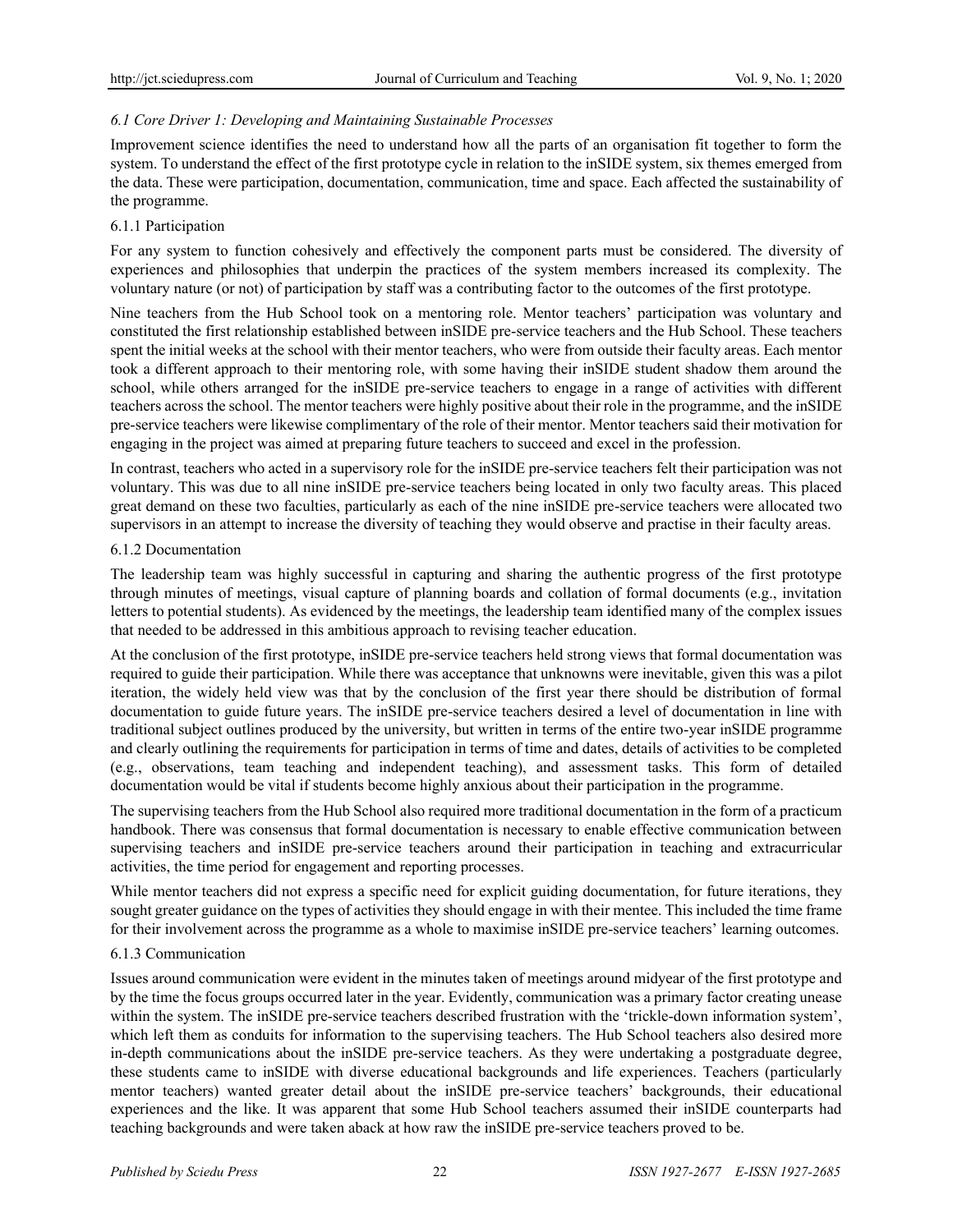## *6.1 Core Driver 1: Developing and Maintaining Sustainable Processes*

Improvement science identifies the need to understand how all the parts of an organisation fit together to form the system. To understand the effect of the first prototype cycle in relation to the inSIDE system, six themes emerged from the data. These were participation, documentation, communication, time and space. Each affected the sustainability of the programme.

## 6.1.1 Participation

For any system to function cohesively and effectively the component parts must be considered. The diversity of experiences and philosophies that underpin the practices of the system members increased its complexity. The voluntary nature (or not) of participation by staff was a contributing factor to the outcomes of the first prototype.

Nine teachers from the Hub School took on a mentoring role. Mentor teachers' participation was voluntary and constituted the first relationship established between inSIDE pre-service teachers and the Hub School. These teachers spent the initial weeks at the school with their mentor teachers, who were from outside their faculty areas. Each mentor took a different approach to their mentoring role, with some having their inSIDE student shadow them around the school, while others arranged for the inSIDE pre-service teachers to engage in a range of activities with different teachers across the school. The mentor teachers were highly positive about their role in the programme, and the inSIDE pre-service teachers were likewise complimentary of the role of their mentor. Mentor teachers said their motivation for engaging in the project was aimed at preparing future teachers to succeed and excel in the profession.

In contrast, teachers who acted in a supervisory role for the inSIDE pre-service teachers felt their participation was not voluntary. This was due to all nine inSIDE pre-service teachers being located in only two faculty areas. This placed great demand on these two faculties, particularly as each of the nine inSIDE pre-service teachers were allocated two supervisors in an attempt to increase the diversity of teaching they would observe and practise in their faculty areas.

## 6.1.2 Documentation

The leadership team was highly successful in capturing and sharing the authentic progress of the first prototype through minutes of meetings, visual capture of planning boards and collation of formal documents (e.g., invitation letters to potential students). As evidenced by the meetings, the leadership team identified many of the complex issues that needed to be addressed in this ambitious approach to revising teacher education.

At the conclusion of the first prototype, inSIDE pre-service teachers held strong views that formal documentation was required to guide their participation. While there was acceptance that unknowns were inevitable, given this was a pilot iteration, the widely held view was that by the conclusion of the first year there should be distribution of formal documentation to guide future years. The inSIDE pre-service teachers desired a level of documentation in line with traditional subject outlines produced by the university, but written in terms of the entire two-year inSIDE programme and clearly outlining the requirements for participation in terms of time and dates, details of activities to be completed (e.g., observations, team teaching and independent teaching), and assessment tasks. This form of detailed documentation would be vital if students become highly anxious about their participation in the programme.

The supervising teachers from the Hub School also required more traditional documentation in the form of a practicum handbook. There was consensus that formal documentation is necessary to enable effective communication between supervising teachers and inSIDE pre-service teachers around their participation in teaching and extracurricular activities, the time period for engagement and reporting processes.

While mentor teachers did not express a specific need for explicit guiding documentation, for future iterations, they sought greater guidance on the types of activities they should engage in with their mentee. This included the time frame for their involvement across the programme as a whole to maximise inSIDE pre-service teachers' learning outcomes.

## 6.1.3 Communication

Issues around communication were evident in the minutes taken of meetings around midyear of the first prototype and by the time the focus groups occurred later in the year. Evidently, communication was a primary factor creating unease within the system. The inSIDE pre-service teachers described frustration with the 'trickle-down information system', which left them as conduits for information to the supervising teachers. The Hub School teachers also desired more in-depth communications about the inSIDE pre-service teachers. As they were undertaking a postgraduate degree, these students came to inSIDE with diverse educational backgrounds and life experiences. Teachers (particularly mentor teachers) wanted greater detail about the inSIDE pre-service teachers' backgrounds, their educational experiences and the like. It was apparent that some Hub School teachers assumed their inSIDE counterparts had teaching backgrounds and were taken aback at how raw the inSIDE pre-service teachers proved to be.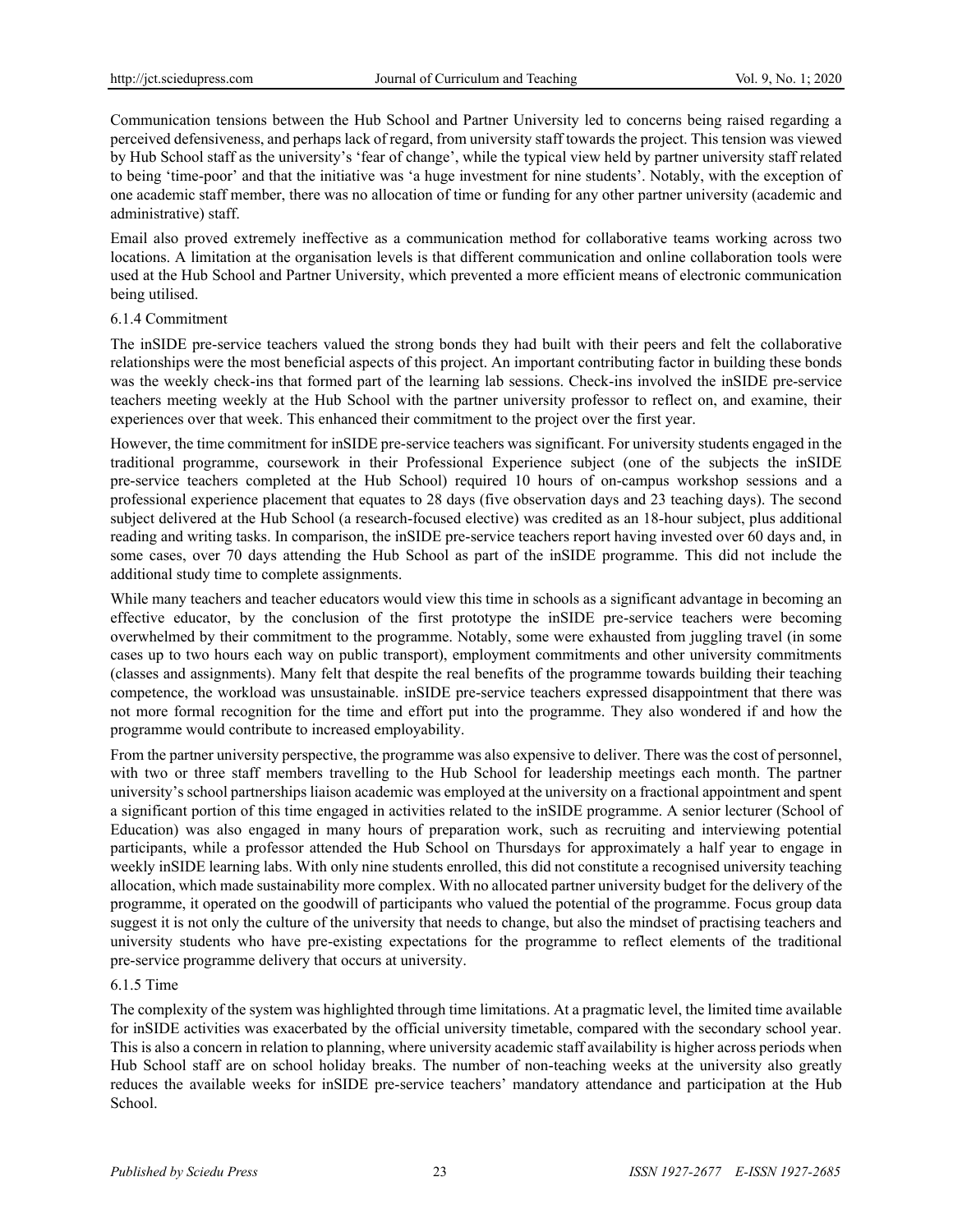Communication tensions between the Hub School and Partner University led to concerns being raised regarding a perceived defensiveness, and perhaps lack of regard, from university staff towards the project. This tension was viewed by Hub School staff as the university's 'fear of change', while the typical view held by partner university staff related to being 'time-poor' and that the initiative was 'a huge investment for nine students'. Notably, with the exception of one academic staff member, there was no allocation of time or funding for any other partner university (academic and administrative) staff.

Email also proved extremely ineffective as a communication method for collaborative teams working across two locations. A limitation at the organisation levels is that different communication and online collaboration tools were used at the Hub School and Partner University, which prevented a more efficient means of electronic communication being utilised.

## 6.1.4 Commitment

The inSIDE pre-service teachers valued the strong bonds they had built with their peers and felt the collaborative relationships were the most beneficial aspects of this project. An important contributing factor in building these bonds was the weekly check-ins that formed part of the learning lab sessions. Check-ins involved the inSIDE pre-service teachers meeting weekly at the Hub School with the partner university professor to reflect on, and examine, their experiences over that week. This enhanced their commitment to the project over the first year.

However, the time commitment for inSIDE pre-service teachers was significant. For university students engaged in the traditional programme, coursework in their Professional Experience subject (one of the subjects the inSIDE pre-service teachers completed at the Hub School) required 10 hours of on-campus workshop sessions and a professional experience placement that equates to 28 days (five observation days and 23 teaching days). The second subject delivered at the Hub School (a research-focused elective) was credited as an 18-hour subject, plus additional reading and writing tasks. In comparison, the inSIDE pre-service teachers report having invested over 60 days and, in some cases, over 70 days attending the Hub School as part of the inSIDE programme. This did not include the additional study time to complete assignments.

While many teachers and teacher educators would view this time in schools as a significant advantage in becoming an effective educator, by the conclusion of the first prototype the inSIDE pre-service teachers were becoming overwhelmed by their commitment to the programme. Notably, some were exhausted from juggling travel (in some cases up to two hours each way on public transport), employment commitments and other university commitments (classes and assignments). Many felt that despite the real benefits of the programme towards building their teaching competence, the workload was unsustainable. inSIDE pre-service teachers expressed disappointment that there was not more formal recognition for the time and effort put into the programme. They also wondered if and how the programme would contribute to increased employability.

From the partner university perspective, the programme was also expensive to deliver. There was the cost of personnel, with two or three staff members travelling to the Hub School for leadership meetings each month. The partner university's school partnerships liaison academic was employed at the university on a fractional appointment and spent a significant portion of this time engaged in activities related to the inSIDE programme. A senior lecturer (School of Education) was also engaged in many hours of preparation work, such as recruiting and interviewing potential participants, while a professor attended the Hub School on Thursdays for approximately a half year to engage in weekly inSIDE learning labs. With only nine students enrolled, this did not constitute a recognised university teaching allocation, which made sustainability more complex. With no allocated partner university budget for the delivery of the programme, it operated on the goodwill of participants who valued the potential of the programme. Focus group data suggest it is not only the culture of the university that needs to change, but also the mindset of practising teachers and university students who have pre-existing expectations for the programme to reflect elements of the traditional pre-service programme delivery that occurs at university.

## 6.1.5 Time

The complexity of the system was highlighted through time limitations. At a pragmatic level, the limited time available for inSIDE activities was exacerbated by the official university timetable, compared with the secondary school year. This is also a concern in relation to planning, where university academic staff availability is higher across periods when Hub School staff are on school holiday breaks. The number of non-teaching weeks at the university also greatly reduces the available weeks for inSIDE pre-service teachers' mandatory attendance and participation at the Hub School.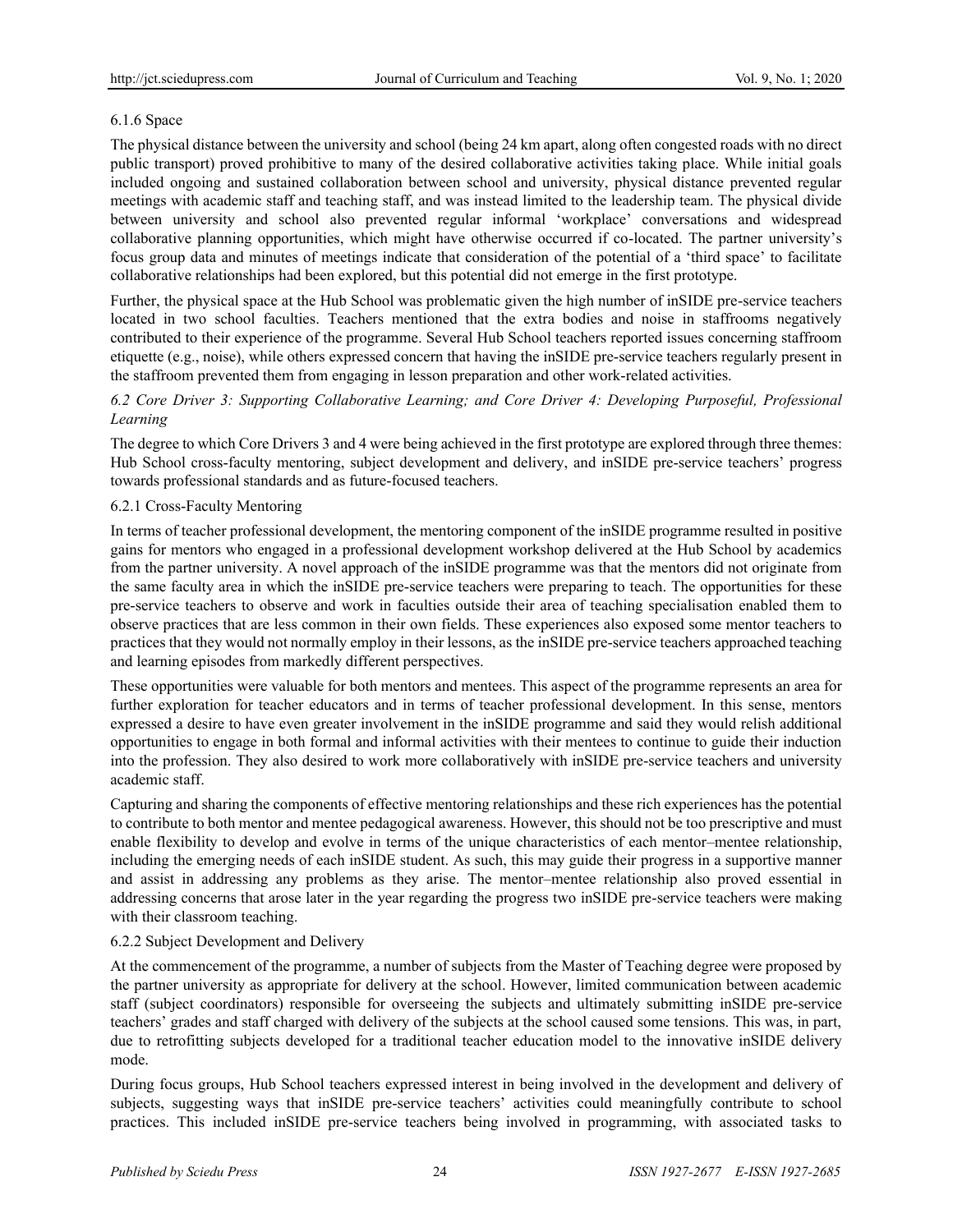## 6.1.6 Space

The physical distance between the university and school (being 24 km apart, along often congested roads with no direct public transport) proved prohibitive to many of the desired collaborative activities taking place. While initial goals included ongoing and sustained collaboration between school and university, physical distance prevented regular meetings with academic staff and teaching staff, and was instead limited to the leadership team. The physical divide between university and school also prevented regular informal 'workplace' conversations and widespread collaborative planning opportunities, which might have otherwise occurred if co-located. The partner university's focus group data and minutes of meetings indicate that consideration of the potential of a 'third space' to facilitate collaborative relationships had been explored, but this potential did not emerge in the first prototype.

Further, the physical space at the Hub School was problematic given the high number of inSIDE pre-service teachers located in two school faculties. Teachers mentioned that the extra bodies and noise in staffrooms negatively contributed to their experience of the programme. Several Hub School teachers reported issues concerning staffroom etiquette (e.g., noise), while others expressed concern that having the inSIDE pre-service teachers regularly present in the staffroom prevented them from engaging in lesson preparation and other work-related activities.

## *6.2 Core Driver 3: Supporting Collaborative Learning; and Core Driver 4: Developing Purposeful, Professional Learning*

The degree to which Core Drivers 3 and 4 were being achieved in the first prototype are explored through three themes: Hub School cross-faculty mentoring, subject development and delivery, and inSIDE pre-service teachers' progress towards professional standards and as future-focused teachers.

## 6.2.1 Cross-Faculty Mentoring

In terms of teacher professional development, the mentoring component of the inSIDE programme resulted in positive gains for mentors who engaged in a professional development workshop delivered at the Hub School by academics from the partner university. A novel approach of the inSIDE programme was that the mentors did not originate from the same faculty area in which the inSIDE pre-service teachers were preparing to teach. The opportunities for these pre-service teachers to observe and work in faculties outside their area of teaching specialisation enabled them to observe practices that are less common in their own fields. These experiences also exposed some mentor teachers to practices that they would not normally employ in their lessons, as the inSIDE pre-service teachers approached teaching and learning episodes from markedly different perspectives.

These opportunities were valuable for both mentors and mentees. This aspect of the programme represents an area for further exploration for teacher educators and in terms of teacher professional development. In this sense, mentors expressed a desire to have even greater involvement in the inSIDE programme and said they would relish additional opportunities to engage in both formal and informal activities with their mentees to continue to guide their induction into the profession. They also desired to work more collaboratively with inSIDE pre-service teachers and university academic staff.

Capturing and sharing the components of effective mentoring relationships and these rich experiences has the potential to contribute to both mentor and mentee pedagogical awareness. However, this should not be too prescriptive and must enable flexibility to develop and evolve in terms of the unique characteristics of each mentor–mentee relationship, including the emerging needs of each inSIDE student. As such, this may guide their progress in a supportive manner and assist in addressing any problems as they arise. The mentor–mentee relationship also proved essential in addressing concerns that arose later in the year regarding the progress two inSIDE pre-service teachers were making with their classroom teaching.

## 6.2.2 Subject Development and Delivery

At the commencement of the programme, a number of subjects from the Master of Teaching degree were proposed by the partner university as appropriate for delivery at the school. However, limited communication between academic staff (subject coordinators) responsible for overseeing the subjects and ultimately submitting inSIDE pre-service teachers' grades and staff charged with delivery of the subjects at the school caused some tensions. This was, in part, due to retrofitting subjects developed for a traditional teacher education model to the innovative inSIDE delivery mode.

During focus groups, Hub School teachers expressed interest in being involved in the development and delivery of subjects, suggesting ways that inSIDE pre-service teachers' activities could meaningfully contribute to school practices. This included inSIDE pre-service teachers being involved in programming, with associated tasks to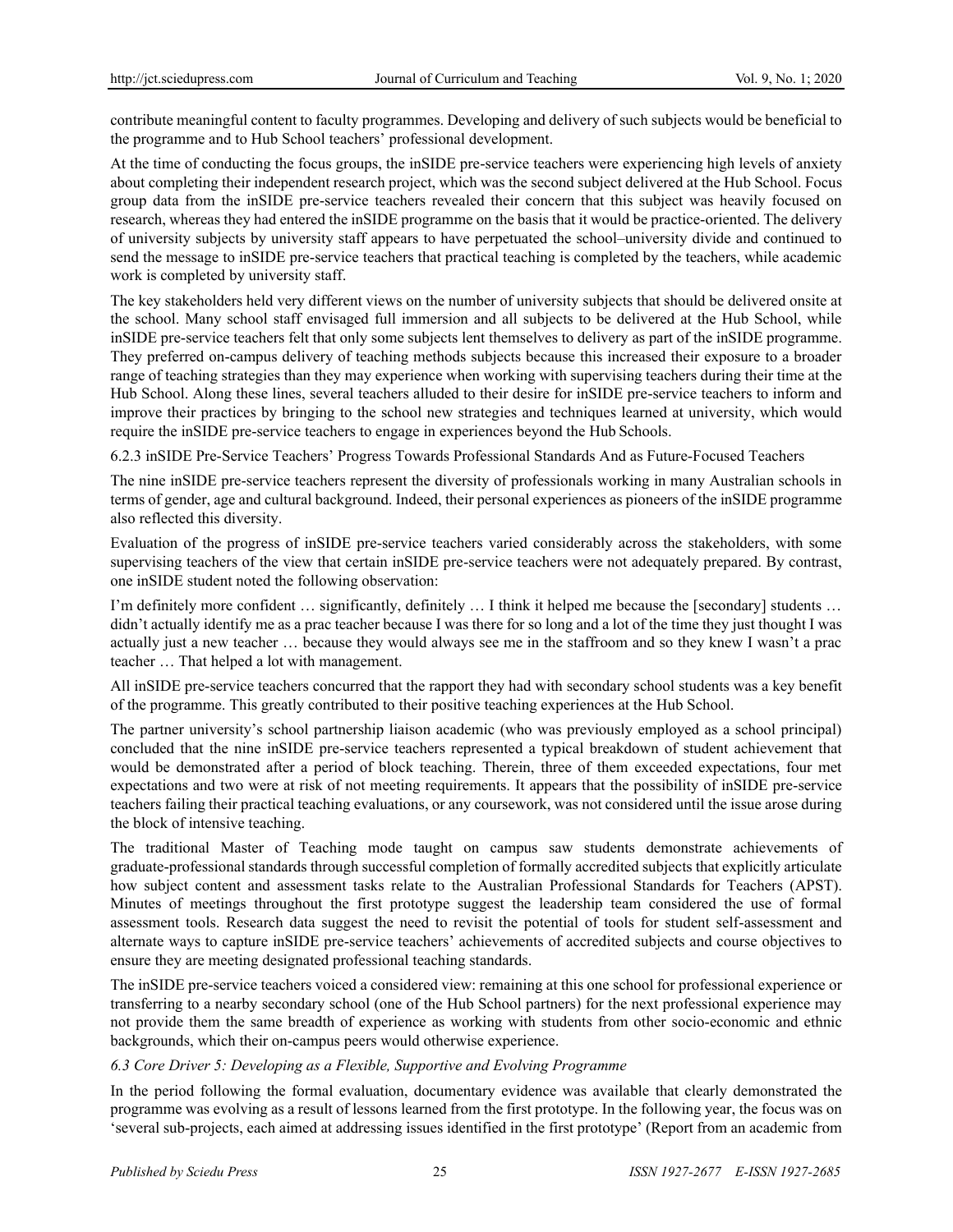contribute meaningful content to faculty programmes. Developing and delivery of such subjects would be beneficial to the programme and to Hub School teachers' professional development.

At the time of conducting the focus groups, the inSIDE pre-service teachers were experiencing high levels of anxiety about completing their independent research project, which was the second subject delivered at the Hub School. Focus group data from the inSIDE pre-service teachers revealed their concern that this subject was heavily focused on research, whereas they had entered the inSIDE programme on the basis that it would be practice-oriented. The delivery of university subjects by university staff appears to have perpetuated the school–university divide and continued to send the message to inSIDE pre-service teachers that practical teaching is completed by the teachers, while academic work is completed by university staff.

The key stakeholders held very different views on the number of university subjects that should be delivered onsite at the school. Many school staff envisaged full immersion and all subjects to be delivered at the Hub School, while inSIDE pre-service teachers felt that only some subjects lent themselves to delivery as part of the inSIDE programme. They preferred on-campus delivery of teaching methods subjects because this increased their exposure to a broader range of teaching strategies than they may experience when working with supervising teachers during their time at the Hub School. Along these lines, several teachers alluded to their desire for inSIDE pre-service teachers to inform and improve their practices by bringing to the school new strategies and techniques learned at university, which would require the inSIDE pre-service teachers to engage in experiences beyond the Hub Schools.

6.2.3 inSIDE Pre-Service Teachers' Progress Towards Professional Standards And as Future-Focused Teachers

The nine inSIDE pre-service teachers represent the diversity of professionals working in many Australian schools in terms of gender, age and cultural background. Indeed, their personal experiences as pioneers of the inSIDE programme also reflected this diversity.

Evaluation of the progress of inSIDE pre-service teachers varied considerably across the stakeholders, with some supervising teachers of the view that certain inSIDE pre-service teachers were not adequately prepared. By contrast, one inSIDE student noted the following observation:

I'm definitely more confident … significantly, definitely … I think it helped me because the [secondary] students … didn't actually identify me as a prac teacher because I was there for so long and a lot of the time they just thought I was actually just a new teacher … because they would always see me in the staffroom and so they knew I wasn't a prac teacher … That helped a lot with management.

All inSIDE pre-service teachers concurred that the rapport they had with secondary school students was a key benefit of the programme. This greatly contributed to their positive teaching experiences at the Hub School.

The partner university's school partnership liaison academic (who was previously employed as a school principal) concluded that the nine inSIDE pre-service teachers represented a typical breakdown of student achievement that would be demonstrated after a period of block teaching. Therein, three of them exceeded expectations, four met expectations and two were at risk of not meeting requirements. It appears that the possibility of inSIDE pre-service teachers failing their practical teaching evaluations, or any coursework, was not considered until the issue arose during the block of intensive teaching.

The traditional Master of Teaching mode taught on campus saw students demonstrate achievements of graduate-professional standards through successful completion of formally accredited subjects that explicitly articulate how subject content and assessment tasks relate to the Australian Professional Standards for Teachers (APST). Minutes of meetings throughout the first prototype suggest the leadership team considered the use of formal assessment tools. Research data suggest the need to revisit the potential of tools for student self-assessment and alternate ways to capture inSIDE pre-service teachers' achievements of accredited subjects and course objectives to ensure they are meeting designated professional teaching standards.

The inSIDE pre-service teachers voiced a considered view: remaining at this one school for professional experience or transferring to a nearby secondary school (one of the Hub School partners) for the next professional experience may not provide them the same breadth of experience as working with students from other socio-economic and ethnic backgrounds, which their on-campus peers would otherwise experience.

# *6.3 Core Driver 5: Developing as a Flexible, Supportive and Evolving Programme*

In the period following the formal evaluation, documentary evidence was available that clearly demonstrated the programme was evolving as a result of lessons learned from the first prototype. In the following year, the focus was on 'several sub-projects, each aimed at addressing issues identified in the first prototype' (Report from an academic from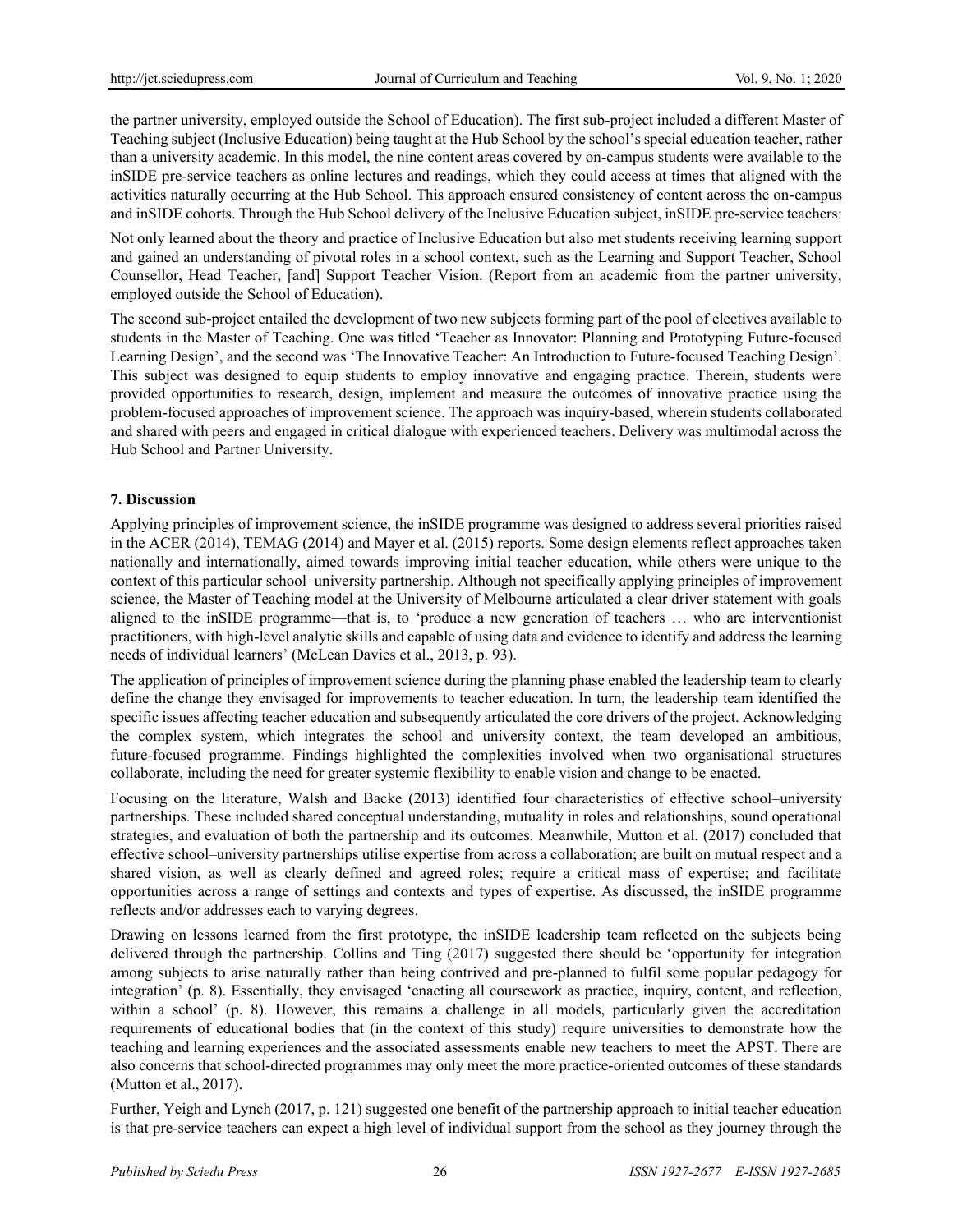the partner university, employed outside the School of Education). The first sub-project included a different Master of Teaching subject (Inclusive Education) being taught at the Hub School by the school's special education teacher, rather than a university academic. In this model, the nine content areas covered by on-campus students were available to the inSIDE pre-service teachers as online lectures and readings, which they could access at times that aligned with the activities naturally occurring at the Hub School. This approach ensured consistency of content across the on-campus and inSIDE cohorts. Through the Hub School delivery of the Inclusive Education subject, inSIDE pre-service teachers:

Not only learned about the theory and practice of Inclusive Education but also met students receiving learning support and gained an understanding of pivotal roles in a school context, such as the Learning and Support Teacher, School Counsellor, Head Teacher, [and] Support Teacher Vision. (Report from an academic from the partner university, employed outside the School of Education).

The second sub-project entailed the development of two new subjects forming part of the pool of electives available to students in the Master of Teaching. One was titled 'Teacher as Innovator: Planning and Prototyping Future-focused Learning Design', and the second was 'The Innovative Teacher: An Introduction to Future-focused Teaching Design'. This subject was designed to equip students to employ innovative and engaging practice. Therein, students were provided opportunities to research, design, implement and measure the outcomes of innovative practice using the problem-focused approaches of improvement science. The approach was inquiry-based, wherein students collaborated and shared with peers and engaged in critical dialogue with experienced teachers. Delivery was multimodal across the Hub School and Partner University.

# **7. Discussion**

Applying principles of improvement science, the inSIDE programme was designed to address several priorities raised in the ACER (2014), TEMAG (2014) and Mayer et al. (2015) reports. Some design elements reflect approaches taken nationally and internationally, aimed towards improving initial teacher education, while others were unique to the context of this particular school–university partnership. Although not specifically applying principles of improvement science, the Master of Teaching model at the University of Melbourne articulated a clear driver statement with goals aligned to the inSIDE programme—that is, to 'produce a new generation of teachers … who are interventionist practitioners, with high-level analytic skills and capable of using data and evidence to identify and address the learning needs of individual learners' (McLean Davies et al., 2013, p. 93).

The application of principles of improvement science during the planning phase enabled the leadership team to clearly define the change they envisaged for improvements to teacher education. In turn, the leadership team identified the specific issues affecting teacher education and subsequently articulated the core drivers of the project. Acknowledging the complex system, which integrates the school and university context, the team developed an ambitious, future-focused programme. Findings highlighted the complexities involved when two organisational structures collaborate, including the need for greater systemic flexibility to enable vision and change to be enacted.

Focusing on the literature, Walsh and Backe (2013) identified four characteristics of effective school–university partnerships. These included shared conceptual understanding, mutuality in roles and relationships, sound operational strategies, and evaluation of both the partnership and its outcomes. Meanwhile, Mutton et al. (2017) concluded that effective school–university partnerships utilise expertise from across a collaboration; are built on mutual respect and a shared vision, as well as clearly defined and agreed roles; require a critical mass of expertise; and facilitate opportunities across a range of settings and contexts and types of expertise. As discussed, the inSIDE programme reflects and/or addresses each to varying degrees.

Drawing on lessons learned from the first prototype, the inSIDE leadership team reflected on the subjects being delivered through the partnership. Collins and Ting (2017) suggested there should be 'opportunity for integration among subjects to arise naturally rather than being contrived and pre-planned to fulfil some popular pedagogy for integration' (p. 8). Essentially, they envisaged 'enacting all coursework as practice, inquiry, content, and reflection, within a school' (p. 8). However, this remains a challenge in all models, particularly given the accreditation requirements of educational bodies that (in the context of this study) require universities to demonstrate how the teaching and learning experiences and the associated assessments enable new teachers to meet the APST. There are also concerns that school-directed programmes may only meet the more practice-oriented outcomes of these standards (Mutton et al., 2017).

Further, Yeigh and Lynch (2017, p. 121) suggested one benefit of the partnership approach to initial teacher education is that pre-service teachers can expect a high level of individual support from the school as they journey through the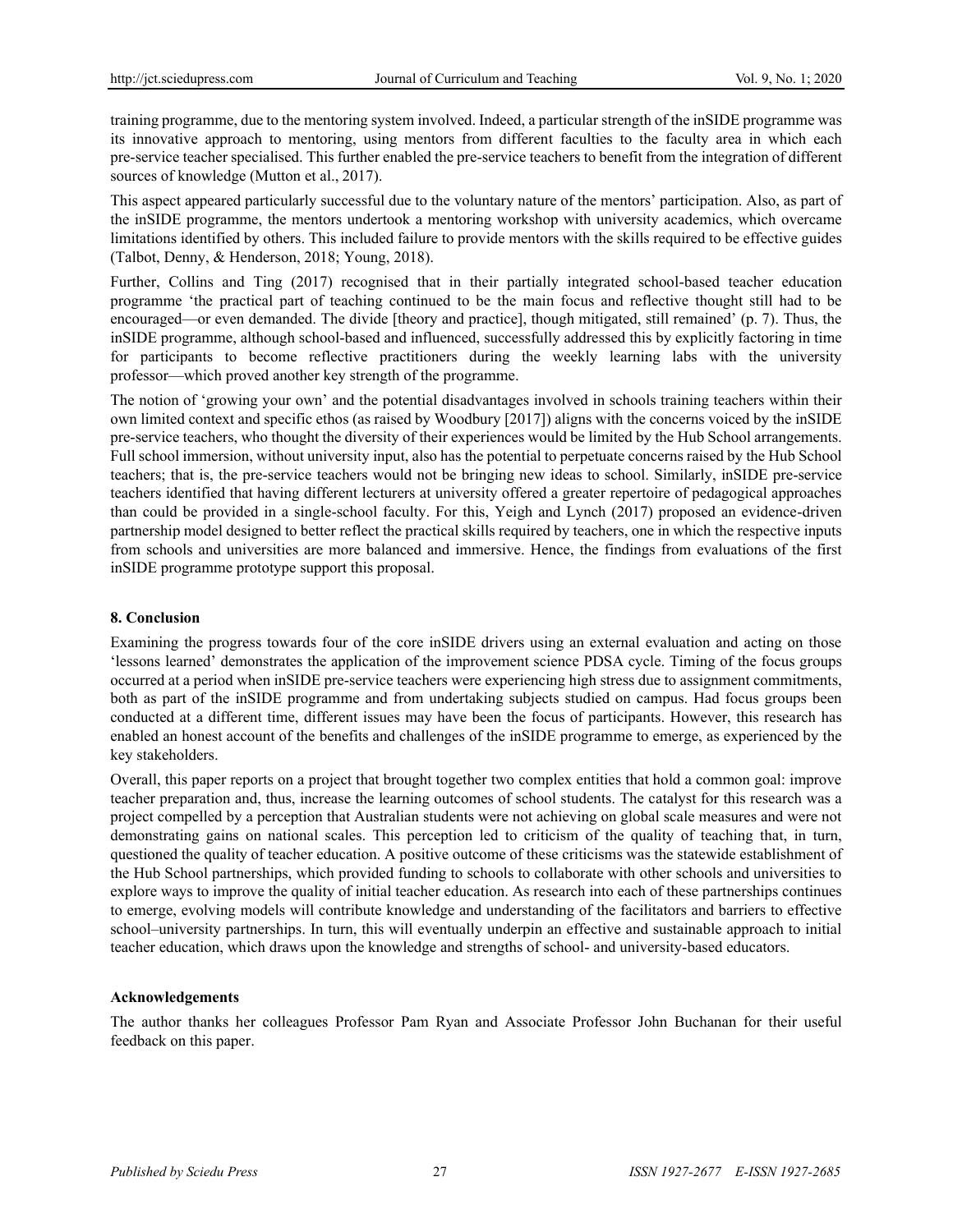training programme, due to the mentoring system involved. Indeed, a particular strength of the inSIDE programme was its innovative approach to mentoring, using mentors from different faculties to the faculty area in which each pre-service teacher specialised. This further enabled the pre-service teachers to benefit from the integration of different sources of knowledge (Mutton et al., 2017).

This aspect appeared particularly successful due to the voluntary nature of the mentors' participation. Also, as part of the inSIDE programme, the mentors undertook a mentoring workshop with university academics, which overcame limitations identified by others. This included failure to provide mentors with the skills required to be effective guides (Talbot, Denny, & Henderson, 2018; Young, 2018).

Further, Collins and Ting (2017) recognised that in their partially integrated school-based teacher education programme 'the practical part of teaching continued to be the main focus and reflective thought still had to be encouraged—or even demanded. The divide [theory and practice], though mitigated, still remained' (p. 7). Thus, the inSIDE programme, although school-based and influenced, successfully addressed this by explicitly factoring in time for participants to become reflective practitioners during the weekly learning labs with the university professor—which proved another key strength of the programme.

The notion of 'growing your own' and the potential disadvantages involved in schools training teachers within their own limited context and specific ethos (as raised by Woodbury [2017]) aligns with the concerns voiced by the inSIDE pre-service teachers, who thought the diversity of their experiences would be limited by the Hub School arrangements. Full school immersion, without university input, also has the potential to perpetuate concerns raised by the Hub School teachers; that is, the pre-service teachers would not be bringing new ideas to school. Similarly, inSIDE pre-service teachers identified that having different lecturers at university offered a greater repertoire of pedagogical approaches than could be provided in a single-school faculty. For this, Yeigh and Lynch (2017) proposed an evidence-driven partnership model designed to better reflect the practical skills required by teachers, one in which the respective inputs from schools and universities are more balanced and immersive. Hence, the findings from evaluations of the first inSIDE programme prototype support this proposal.

#### **8. Conclusion**

Examining the progress towards four of the core inSIDE drivers using an external evaluation and acting on those 'lessons learned' demonstrates the application of the improvement science PDSA cycle. Timing of the focus groups occurred at a period when inSIDE pre-service teachers were experiencing high stress due to assignment commitments, both as part of the inSIDE programme and from undertaking subjects studied on campus. Had focus groups been conducted at a different time, different issues may have been the focus of participants. However, this research has enabled an honest account of the benefits and challenges of the inSIDE programme to emerge, as experienced by the key stakeholders.

Overall, this paper reports on a project that brought together two complex entities that hold a common goal: improve teacher preparation and, thus, increase the learning outcomes of school students. The catalyst for this research was a project compelled by a perception that Australian students were not achieving on global scale measures and were not demonstrating gains on national scales. This perception led to criticism of the quality of teaching that, in turn, questioned the quality of teacher education. A positive outcome of these criticisms was the statewide establishment of the Hub School partnerships, which provided funding to schools to collaborate with other schools and universities to explore ways to improve the quality of initial teacher education. As research into each of these partnerships continues to emerge, evolving models will contribute knowledge and understanding of the facilitators and barriers to effective school–university partnerships. In turn, this will eventually underpin an effective and sustainable approach to initial teacher education, which draws upon the knowledge and strengths of school- and university-based educators.

## **Acknowledgements**

The author thanks her colleagues Professor Pam Ryan and Associate Professor John Buchanan for their useful feedback on this paper.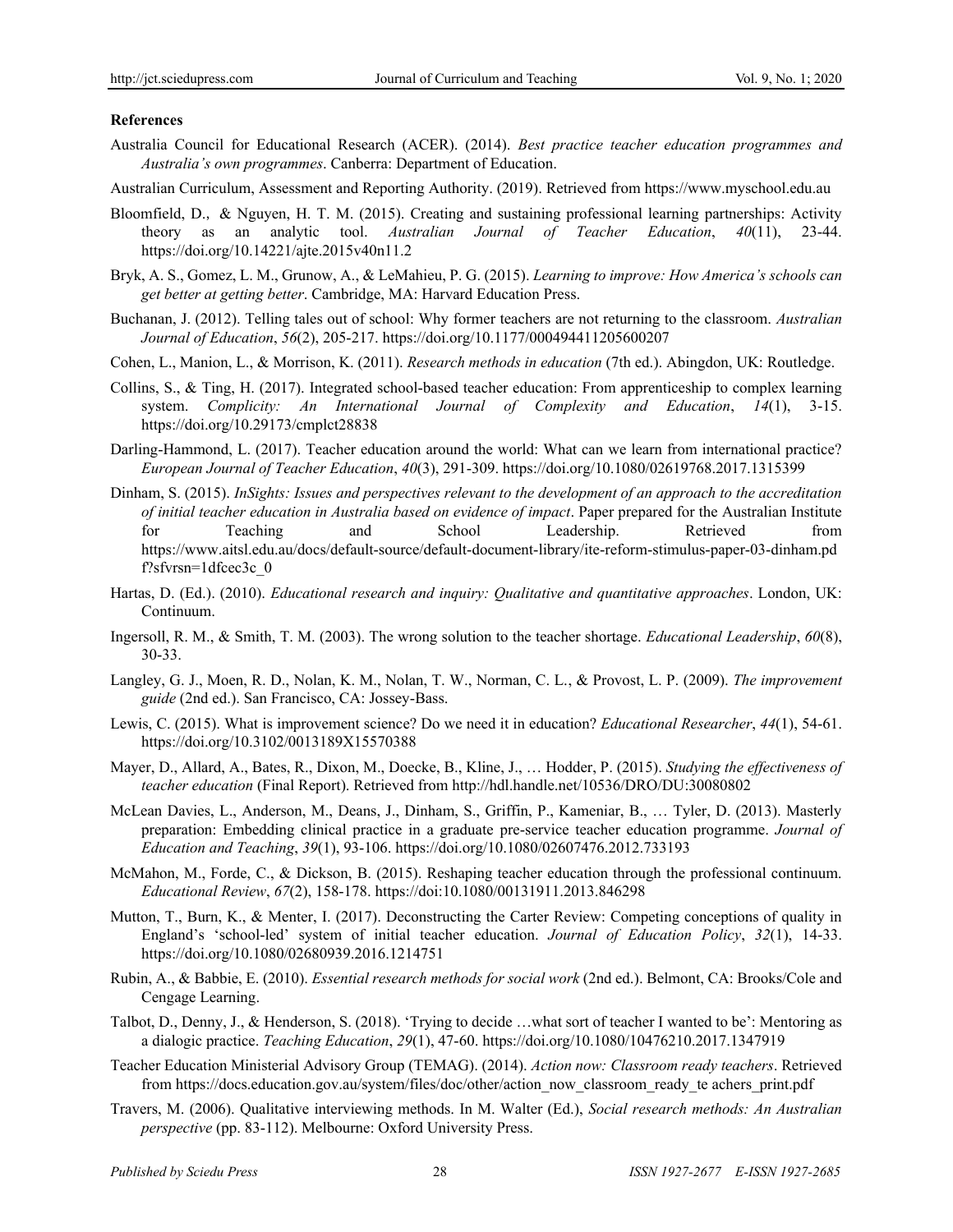#### **References**

- Australia Council for Educational Research (ACER). (2014). *Best practice teacher education programmes and Australia's own programmes*. Canberra: Department of Education.
- Australian Curriculum, Assessment and Reporting Authority. (2019). Retrieved from https:[//www.myschool.edu.au](http://www.myschool.edu.au/)
- Bloomfield, D., & Nguyen, H. T. M. (2015). Creating and sustaining professional learning partnerships: Activity theory as an analytic tool. *Australian Journal of Teacher Education*, *40*(11), 23-44. https://doi.org/10.14221/ajte.2015v40n11.2
- Bryk, A. S., Gomez, L. M., Grunow, A., & LeMahieu, P. G. (2015). *Learning to improve: How America's schools can get better at getting better*. Cambridge, MA: Harvard Education Press.
- Buchanan, J. (2012). Telling tales out of school: Why former teachers are not returning to the classroom. *Australian Journal of Education*, *56*(2), 205-217. https://doi.org/10.1177/000494411205600207
- Cohen, L., Manion, L., & Morrison, K. (2011). *Research methods in education* (7th ed.). Abingdon, UK: Routledge.
- Collins, S., & Ting, H. (2017). Integrated school-based teacher education: From apprenticeship to complex learning system. *Complicity: An International Journal of Complexity and Education*, *14*(1), 3-15. https://doi.org/10.29173/cmplct28838
- Darling-Hammond, L. (2017). Teacher education around the world: What can we learn from international practice? *European Journal of Teacher Education*, *40*(3), 291-309. https://doi.org/10.1080/02619768.2017.1315399
- Dinham, S. (2015). *InSights: Issues and perspectives relevant to the development of an approach to the accreditation of initial teacher education in Australia based on evidence of impact*. Paper prepared for the Australian Institute for Teaching and School Leadership. Retrieved fr[om](http://www.aitsl.edu.au/docs/default-)  [https://www.aitsl.edu.au/docs/default](http://www.aitsl.edu.au/docs/default-)-source/default-document-library/ite-reform-stimulus-paper-03-dinham.pd f?sfvrsn=1dfcec3c\_0
- Hartas, D. (Ed.). (2010). *Educational research and inquiry: Qualitative and quantitative approaches*. London, UK: Continuum.
- Ingersoll, R. M., & Smith, T. M. (2003). The wrong solution to the teacher shortage. *Educational Leadership*, *60*(8), 30-33.
- Langley, G. J., Moen, R. D., Nolan, K. M., Nolan, T. W., Norman, C. L., & Provost, L. P. (2009). *The improvement guide* (2nd ed.). San Francisco, CA: Jossey-Bass.
- Lewis, C. (2015). What is improvement science? Do we need it in education? *Educational Researcher*, *44*(1), 54-61. https://doi.org/10.3102/0013189X15570388
- Mayer, D., Allard, A., Bates, R., Dixon, M., Doecke, B., Kline, J., … Hodder, P. (2015). *Studying the effectiveness of teacher education* (Final Report). Retrieved from http://hdl.handle.net/10536/DRO/DU:30080802
- McLean Davies, L., Anderson, M., Deans, J., Dinham, S., Griffin, P., Kameniar, B., … Tyler, D. (2013). Masterly preparation: Embedding clinical practice in a graduate pre-service teacher education programme. *Journal of Education and Teaching*, *39*(1), 93-106. https://doi.org/10.1080/02607476.2012.733193
- McMahon, M., Forde, C., & Dickson, B. (2015). Reshaping teacher education through the professional continuum. *Educational Review*, *67*(2), 158-178. https://doi:10.1080/00131911.2013.846298
- Mutton, T., Burn, K., & Menter, I. (2017). Deconstructing the Carter Review: Competing conceptions of quality in England's 'school-led' system of initial teacher education. *Journal of Education Policy*, *32*(1), 14-33. https://doi.org/10.1080/02680939.2016.1214751
- Rubin, A., & Babbie, E. (2010). *Essential research methods for social work* (2nd ed.). Belmont, CA: Brooks/Cole and Cengage Learning.
- Talbot, D., Denny, J., & Henderson, S. (2018). 'Trying to decide …what sort of teacher I wanted to be': Mentoring as a dialogic practice. *Teaching Education*, *29*(1), 47-60. https://doi.org/10.1080/10476210.2017.1347919
- Teacher Education Ministerial Advisory Group (TEMAG). (2014). *Action now: Classroom ready teachers*. Retrieved from https://docs.education.gov.au/system/files/doc/other/action\_now\_classroom\_ready\_te achers\_print.pdf
- Travers, M. (2006). Qualitative interviewing methods. In M. Walter (Ed.), *Social research methods: An Australian perspective* (pp. 83-112). Melbourne: Oxford University Press.